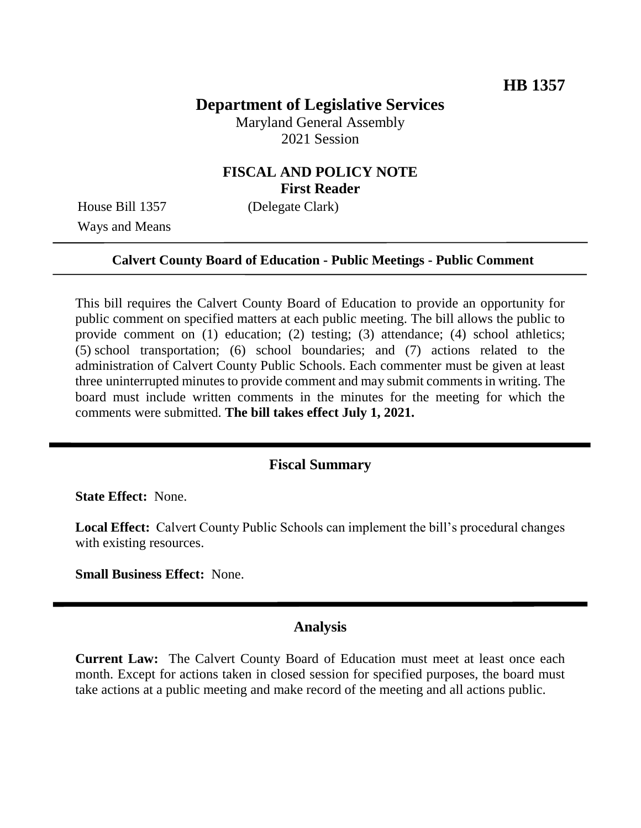# **Department of Legislative Services**

Maryland General Assembly 2021 Session

## **FISCAL AND POLICY NOTE First Reader**

Ways and Means

House Bill 1357 (Delegate Clark)

### **Calvert County Board of Education - Public Meetings - Public Comment**

This bill requires the Calvert County Board of Education to provide an opportunity for public comment on specified matters at each public meeting. The bill allows the public to provide comment on (1) education; (2) testing; (3) attendance; (4) school athletics; (5) school transportation; (6) school boundaries; and (7) actions related to the administration of Calvert County Public Schools. Each commenter must be given at least three uninterrupted minutes to provide comment and may submit comments in writing. The board must include written comments in the minutes for the meeting for which the comments were submitted. **The bill takes effect July 1, 2021.**

#### **Fiscal Summary**

**State Effect:** None.

**Local Effect:** Calvert County Public Schools can implement the bill's procedural changes with existing resources.

**Small Business Effect:** None.

### **Analysis**

**Current Law:** The Calvert County Board of Education must meet at least once each month. Except for actions taken in closed session for specified purposes, the board must take actions at a public meeting and make record of the meeting and all actions public.